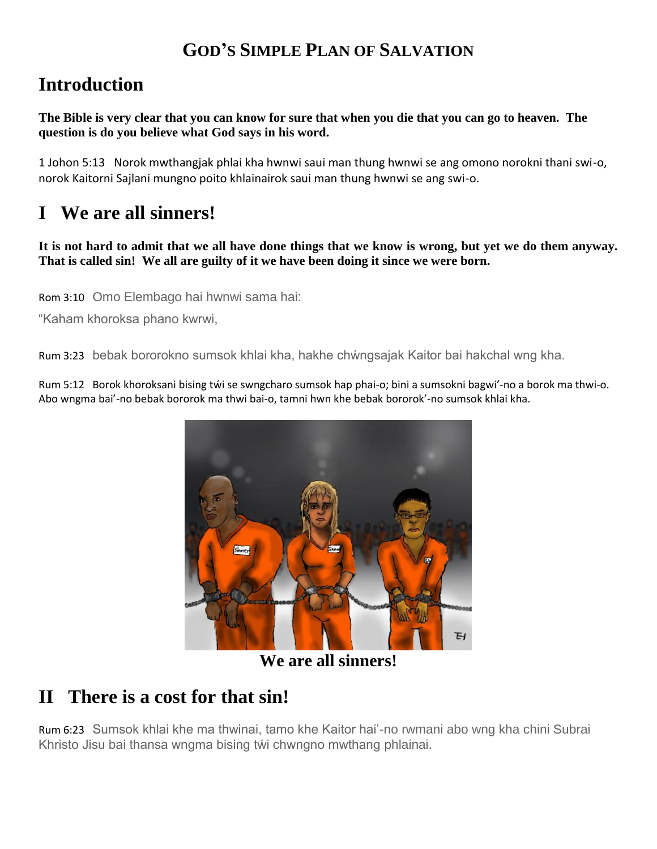#### **GOD'S SIMPLE PLAN OF SALVATION**

## **Introduction**

**The Bible is very clear that you can know for sure that when you die that you can go to heaven. The question is do you believe what God says in his word.**

1 Johon 5:13 Norok mwthangjak phlai kha hwnwi saui man thung hwnwi se ang omono norokni thani swi-o, norok Kaitorni Sajlani mungno poito khlainairok saui man thung hwnwi se ang swi-o.

# **I We are all sinners!**

**It is not hard to admit that we all have done things that we know is wrong, but yet we do them anyway. That is called sin! We all are guilty of it we have been doing it since we were born.**

Rom 3:10 Omo Elembago hai hwnwi sama hai:

"Kaham khoroksa phano kwrwi,

Rum 3:23 bebak bororokno sumsok khlai kha, hakhe chẃngsajak Kaitor bai hakchal wng kha.

Rum 5:12 Borok khoroksani bising tẃi se swngcharo sumsok hap phai-o; bini a sumsokni bagwi'-no a borok ma thwi-o. Abo wngma bai'-no bebak bororok ma thwi bai-o, tamni hwn khe bebak bororok'-no sumsok khlai kha.



**We are all sinners!**

## **II There is a cost for that sin!**

Rum 6:23 Sumsok khlai khe ma thwinai, tamo khe Kaitor hai'-no rwmani abo wng kha chini Subrai Khristo Jisu bai thansa wngma bising tŵi chwngno mwthang phlainai.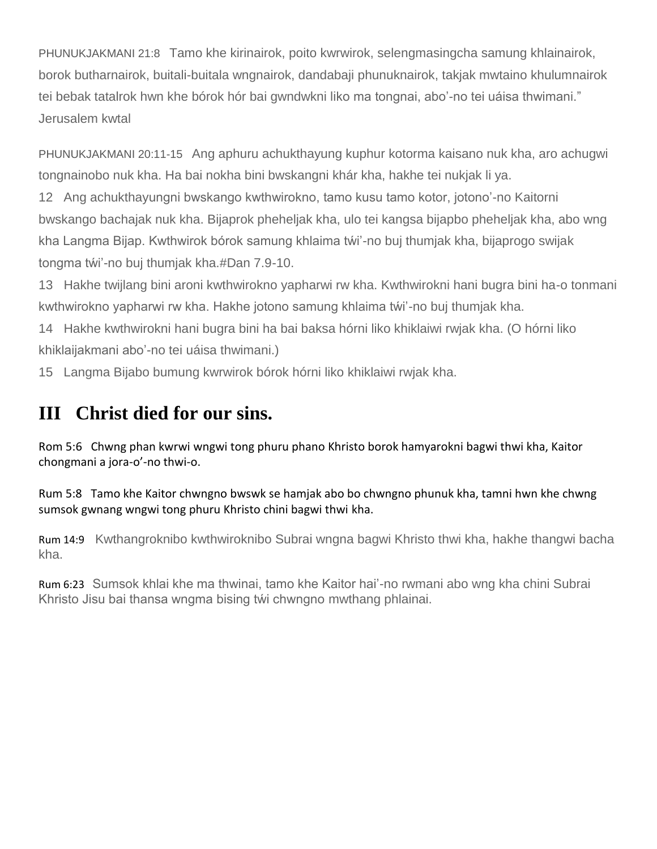PHUNUKJAKMANI 21:8 Tamo khe kirinairok, poito kwrwirok, selengmasingcha samung khlainairok, borok butharnairok, buitali-buitala wngnairok, dandabaji phunuknairok, takjak mwtaino khulumnairok tei bebak tatalrok hwn khe bórok hór bai gwndwkni liko ma tongnai, abo'-no tei uáisa thwimani." Jerusalem kwtal

PHUNUKJAKMANI 20:11-15 Ang aphuru achukthayung kuphur kotorma kaisano nuk kha, aro achugwi tongnainobo nuk kha. Ha bai nokha bini bwskangni khár kha, hakhe tei nukjak li ya.

12 Ang achukthayungni bwskango kwthwirokno, tamo kusu tamo kotor, jotono'-no Kaitorni bwskango bachajak nuk kha. Bijaprok pheheljak kha, ulo tei kangsa bijapbo pheheljak kha, abo wng kha Langma Bijap. Kwthwirok bórok samung khlaima tẃi'-no buj thumjak kha, bijaprogo swijak tongma tẃi'-no buj thumjak kha.#Dan 7.9-10.

13 Hakhe twijlang bini aroni kwthwirokno yapharwi rw kha. Kwthwirokni hani bugra bini ha-o tonmani kwthwirokno yapharwi rw kha. Hakhe jotono samung khlaima twi'-no buj thumjak kha.

14 Hakhe kwthwirokni hani bugra bini ha bai baksa hórni liko khiklaiwi rwjak kha. (O hórni liko khiklaijakmani abo'-no tei uáisa thwimani.)

15 Langma Bijabo bumung kwrwirok bórok hórni liko khiklaiwi rwjak kha.

#### **III Christ died for our sins.**

Rom 5:6 Chwng phan kwrwi wngwi tong phuru phano Khristo borok hamyarokni bagwi thwi kha, Kaitor chongmani a jora-o'-no thwi-o.

Rum 5:8 Tamo khe Kaitor chwngno bwswk se hamjak abo bo chwngno phunuk kha, tamni hwn khe chwng sumsok gwnang wngwi tong phuru Khristo chini bagwi thwi kha.

Rum 14:9 Kwthangroknibo kwthwiroknibo Subrai wngna bagwi Khristo thwi kha, hakhe thangwi bacha kha.

Rum 6:23 Sumsok khlai khe ma thwinai, tamo khe Kaitor hai'-no rwmani abo wng kha chini Subrai Khristo Jisu bai thansa wngma bising tẃi chwngno mwthang phlainai.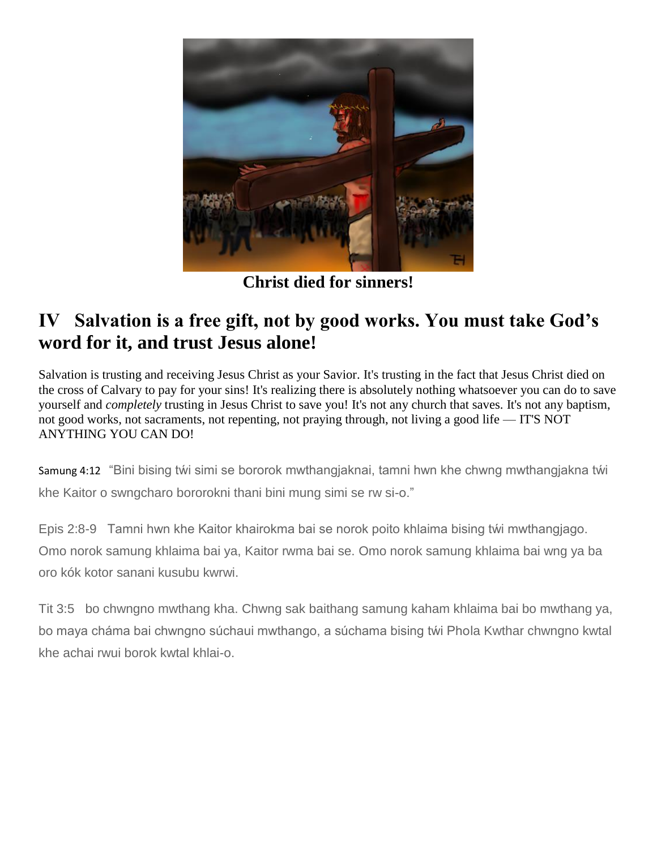

**Christ died for sinners!**

## **IV Salvation is a free gift, not by good works. You must take God's word for it, and trust Jesus alone!**

Salvation is trusting and receiving Jesus Christ as your Savior. It's trusting in the fact that Jesus Christ died on the cross of Calvary to pay for your sins! It's realizing there is absolutely nothing whatsoever you can do to save yourself and *completely* trusting in Jesus Christ to save you! It's not any church that saves. It's not any baptism, not good works, not sacraments, not repenting, not praying through, not living a good life — IT'S NOT ANYTHING YOU CAN DO!

Samung 4:12 "Bini bising tẃi simi se bororok mwthangjaknai, tamni hwn khe chwng mwthangjakna tẃi khe Kaitor o swngcharo bororokni thani bini mung simi se rw si-o."

Epis 2:8-9 Tamni hwn khe Kaitor khairokma bai se norok poito khlaima bising tẃi mwthangjago. Omo norok samung khlaima bai ya, Kaitor rwma bai se. Omo norok samung khlaima bai wng ya ba oro kók kotor sanani kusubu kwrwi.

Tit 3:5 bo chwngno mwthang kha. Chwng sak baithang samung kaham khlaima bai bo mwthang ya, bo maya cháma bai chwngno súchaui mwthango, a súchama bising tẃi Phola Kwthar chwngno kwtal khe achai rwui borok kwtal khlai-o.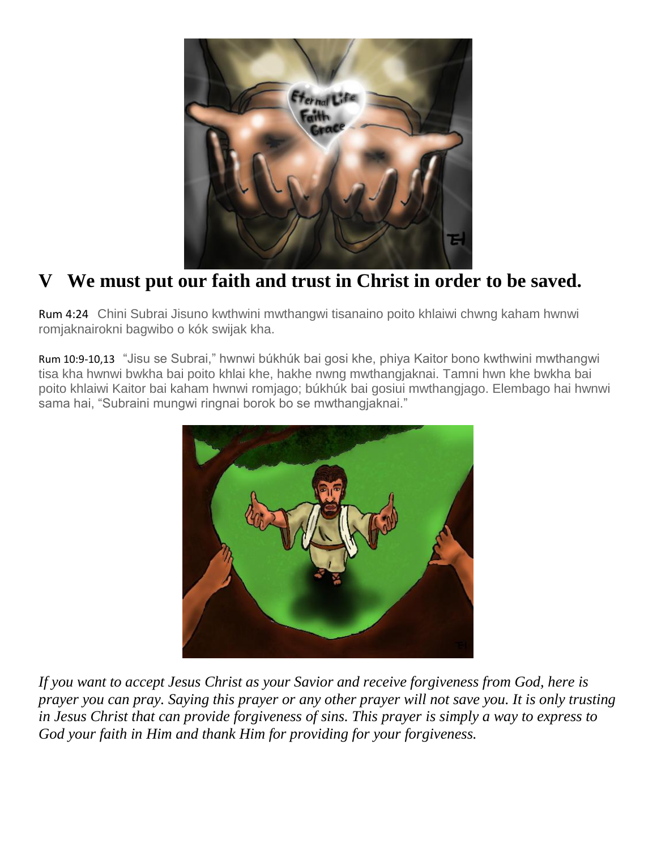

# **V We must put our faith and trust in Christ in order to be saved.**

Rum 4:24 Chini Subrai Jisuno kwthwini mwthangwi tisanaino poito khlaiwi chwng kaham hwnwi romjaknairokni bagwibo o kók swijak kha.

Rum 10:9-10,13 "Jisu se Subrai," hwnwi búkhúk bai gosi khe, phiya Kaitor bono kwthwini mwthangwi tisa kha hwnwi bwkha bai poito khlai khe, hakhe nwng mwthangjaknai. Tamni hwn khe bwkha bai poito khlaiwi Kaitor bai kaham hwnwi romjago; búkhúk bai gosiui mwthangjago. Elembago hai hwnwi sama hai, "Subraini mungwi ringnai borok bo se mwthangjaknai."



*If you want to accept Jesus Christ as your Savior and receive forgiveness from God, here is prayer you can pray. Saying this prayer or any other prayer will not save you. It is only trusting in Jesus Christ that can provide forgiveness of sins. This prayer is simply a way to express to God your faith in Him and thank Him for providing for your forgiveness.*